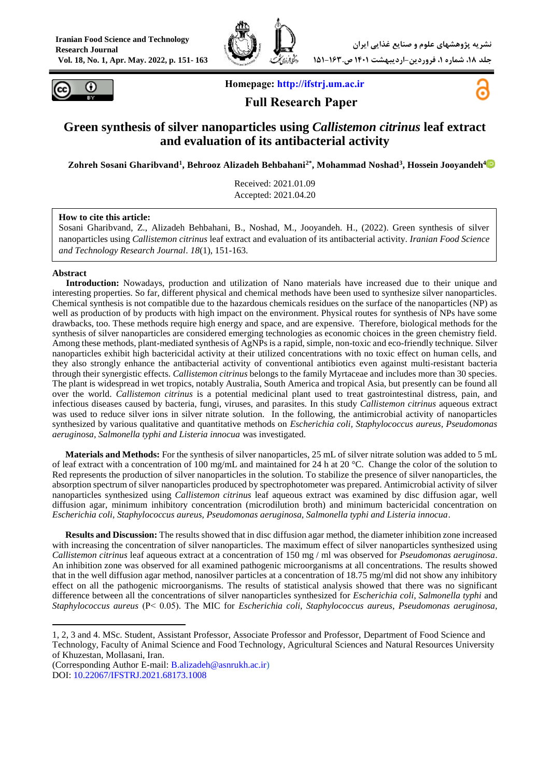



**Homepage: [http://ifstrj.um.ac.ir](http://ifstrj.um.ac.ir/)**



# **Full Research Paper**

# **Green synthesis of silver nanoparticles using** *Callistemon citrinus* **leaf extract and evaluation of its antibacterial activity**

**Zohreh Sosani Gharibvand<sup>1</sup> , Behrooz Alizadeh Behbahani2\* , Mohammad Noshad<sup>3</sup> , Hossein Jooyandeh<sup>4</sup>**

Received: 2021.01.09 Accepted: 2021.04.20

#### **How to cite this article:**

Sosani Gharibvand, Z., Alizadeh Behbahani, B., Noshad, M., Jooyandeh. H., (2022). Green synthesis of silver nanoparticles using *Callistemon citrinus* leaf extract and evaluation of its antibacterial activity. *Iranian Food Science and Technology Research Journal*. *18*(1), 151-163.

#### **Abstract**

1

<sup>1</sup>**Introduction:** Nowadays, production and utilization of Nano materials have increased due to their unique and interesting properties. So far, different physical and chemical methods have been used to synthesize silver nanoparticles. Chemical synthesis is not compatible due to the hazardous chemicals residues on the surface of the nanoparticles (NP) as well as production of by products with high impact on the environment. Physical routes for synthesis of NPs have some drawbacks, too. These methods require high energy and space, and are expensive. Therefore, biological methods for the synthesis of silver nanoparticles are considered emerging technologies as economic choices in the green chemistry field. Among these methods, plant-mediated synthesis of AgNPs is a rapid, simple, non-toxic and eco-friendly technique. Silver nanoparticles exhibit high bactericidal activity at their utilized concentrations with no toxic effect on human cells, and they also strongly enhance the antibacterial activity of conventional antibiotics even against multi-resistant bacteria through their synergistic effects. *Callistemon citrinus* belongs to the family Myrtaceae and includes more than 30 species. The plant is widespread in wet tropics, notably Australia, South America and tropical Asia, but presently can be found all over the world. *Callistemon citrinus* is a potential medicinal plant used to treat gastrointestinal distress, pain, and infectious diseases caused by bacteria, fungi, viruses, and parasites. In this study *Callistemon citrinus* aqueous extract was used to reduce silver ions in silver nitrate solution. In the following, the antimicrobial activity of nanoparticles synthesized by various qualitative and quantitative methods on *Escherichia coli, Staphylococcus aureus, Pseudomonas aeruginosa, Salmonella typhi and Listeria innocua* was investigated.

**Materials and Methods:** For the synthesis of silver nanoparticles, 25 mL of silver nitrate solution was added to 5 mL of leaf extract with a concentration of 100 mg/mL and maintained for 24 h at 20 °C. Change the color of the solution to Red represents the production of silver nanoparticles in the solution. To stabilize the presence of silver nanoparticles, the absorption spectrum of silver nanoparticles produced by spectrophotometer was prepared. Antimicrobial activity of silver nanoparticles synthesized using *Callistemon citrinus* leaf aqueous extract was examined by disc diffusion agar, well diffusion agar, minimum inhibitory concentration (microdilution broth) and minimum bactericidal concentration on *Escherichia coli, Staphylococcus aureus, Pseudomonas aeruginosa, Salmonella typhi and Listeria innocua*.

**Results and Discussion:** The results showed that in disc diffusion agar method, the diameter inhibition zone increased with increasing the concentration of silver nanoparticles. The maximum effect of silver nanoparticles synthesized using *Callistemon citrinus* leaf aqueous extract at a concentration of 150 mg / ml was observed for *Pseudomonas aeruginosa*. An inhibition zone was observed for all examined pathogenic microorganisms at all concentrations. The results showed that in the well diffusion agar method, nanosilver particles at a concentration of 18.75 mg/ml did not show any inhibitory effect on all the pathogenic microorganisms. The results of statistical analysis showed that there was no significant difference between all the concentrations of silver nanoparticles synthesized for *Escherichia coli, Salmonella typhi* and *Staphylococcus aureus* (P˂ 0.05(. The MIC for *Escherichia coli*, *Staphylococcus aureus*, *Pseudomonas aeruginosa,*

<sup>1, 2, 3</sup> and 4. MSc. Student, Assistant Professor, Associate Professor and Professor, Department of Food Science and Technology, Faculty of Animal Science and Food Technology, Agricultural Sciences and Natural Resources University of Khuzestan, Mollasani, Iran.

<sup>(</sup>Corresponding Author E-mail: [B.alizadeh@asnrukh.ac.ir\)](mailto:B.alizadeh@asnrukh.ac.ir) DOI[:](https://dx.doi.org/10.22067/ifstrj.2021.68173.1008) [10.22067/IFSTRJ.2021.68173.1008](https://dx.doi.org/10.22067/ifstrj.2021.68173.1008)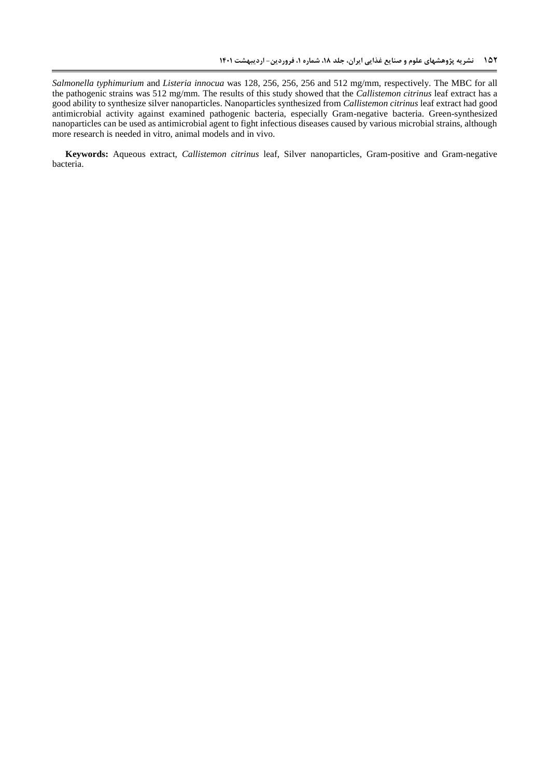*Salmonella typhimurium* and *Listeria innocua* was 128, 256, 256, 256 and 512 mg/mm, respectively. The MBC for all the pathogenic strains was 512 mg/mm. The results of this study showed that the *Callistemon citrinus* leaf extract has a good ability to synthesize silver nanoparticles. Nanoparticles synthesized from *Callistemon citrinus* leaf extract had good antimicrobial activity against examined pathogenic bacteria, especially Gram-negative bacteria. Green-synthesized nanoparticles can be used as antimicrobial agent to fight infectious diseases caused by various microbial strains, although more research is needed in vitro, animal models and in vivo.

**Keywords:** Aqueous extract, *Callistemon citrinus* leaf, Silver nanoparticles, Gram-positive and Gram-negative bacteria.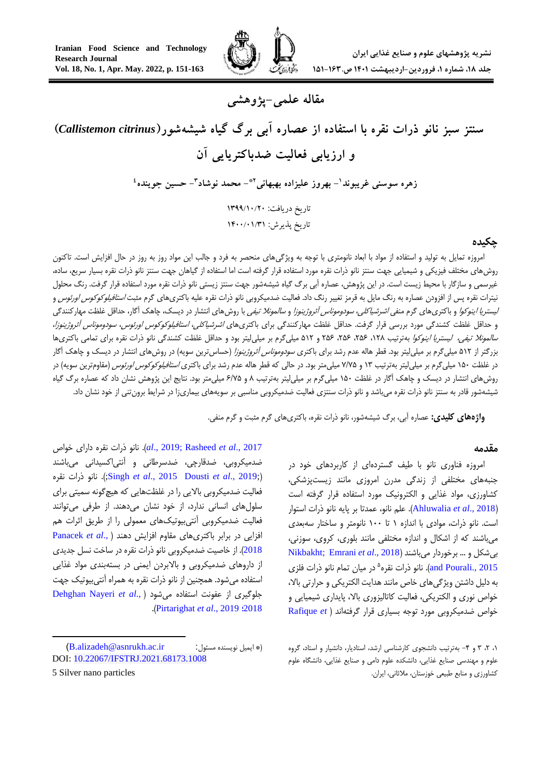**مقاله علمی-پژوهشی**

# **سنتز سبز نانو ذرات نقره با استفاده از عصاره آبی برگ گیاه شیشهشور)***citrinus Callistemon* **) و ارزیابی فعالیت ضدباکتریایی آن**

زهره سوسنی غریبوند'– بهروز علیزاده بهبهانی'\*– محمد نوشاد'– حسین جوینده<sup>،</sup>

تاریخ دریافت: 0911/02/02 تاریخ پذیرش: ۱۴۰۰/۰۱/۳۱

#### **چکیده**

امروزه تمایل به تولید و استفاده از مواد با ابعاد نانومتری با توجه به ویژگیهای منحصر به فرد و جالب این مواد روز به روز در حال افزایش است. تاکنون روشهای مختلف فیزیکی و شیمیایی جهت سنتز نانو ذرات نقره مورد استفاده قرار گرفته است اما استفاده از گیاهان جهت سنتز نانو ذرات نقره بسیار سریع، ساده، غیرسمی و سازگار با محیط زیست است. در این پژوهش، عصاره آبی برگ گیاه شیشهشور جهت سنتز زیستی نانو ذرات نقره مورد استفاده قرار گرفت. رنگ محلول نیترات نقره پس از افزودن عصاره به رنگ مایل به قرمز تغییر رنگ داد. فعالیت ضدمیکروبی نانو ذرات نقره علیه باکتریهای گرم مثبت *استافیلوکوکوس اورئوس* و ل*یستریا اینوکوا* و باکتریهای گرم منفی *اشرشیاکلی، سودوموناس آئروژینوزا و سالمونلا تیفی* با روشهای انتشار در دیسک، چاهک آگار، حداقل غلظت مهارکنندگی و حداقل غلظت کشندگی مورد بررسی قرار گرفت. حداقل غلظت مهارکنندگی برای باکتریهای *اشرشیاکلی، استافیلوکوکوس اورئوس، سودوموناس آئروژینوزا*، س*المونلا تیفی، لیستریا اینوکوا* بهترتیب ۲۸۶، ۲۵۶، ۲۵۶ و ۵۱۲ میلی گرم بر میلی لیتر بود و حداقل غلظت کشندگی نانو ذرات نقره برای تمامی باکتریها بزرگتر از ۵۱۲ میلیگرم بر میلیلیتر بود. قطر هاله عدم رشد برای باکتری *سودوموناس آئروژینوزا* (حساسترین سویه) در روشهای انتشار در دیسک و چاهک آگار در غلظت ۱۵۰ میلیگرم بر میلی[یتر بهترتیب ۱۳ و ۷/۷۵ میلیمتر بود. در حالی که قطر هاله عدم رشد برای باکتری *استافیلوکوکوس اورئوس* (مقاومترین سویه) در روشهای انتشار در دیسک و چاهک آگار در غلظت 851 میلیگرم بر میلیلیتر بهترتیب 1 و 2/55 میلیمتر بود. نتایج این پژوهش نشان داد که عصاره برگ گیاه شیشهشور قادر به سنتز نانو ذرات نقره میباشد و نانو ذرات سنتزی فعالیت ضدمیکروبی مناسبی بر سویههای بیماریزا در شرایط برونتنی از خود نشان داد.

**واژههای کلیدی:** عصاره آبی، برگ شیشهشور، نانو ذرات نقره، باکتریهای گرم مثبت و گرم منفی.

#### **مقدمه**

امروزه فناوری نانو با طیف گستردهای از کاربردهای خود در جنبههای مختلفی از زندگی مدرن امروزی مانند زیستپزشکی، کشاورزی، مواد غذایی و الکترونیک مورد استفاده قرار گرفته است )2018 .,*al et* [Ahluwalia](#page-10-0)). علم نانو، عمدتا بر پایه نانو ذرات استوار است. نانو ذرات، موادی با اندازه 8 تا 811 نانومتر و ساختار سهبعدی میباشند که از اشکال و اندازه مختلفی مانند بلوری، کروی، سوزنی، بیشکل و ... برخوردار میباشند )2018 .,*al et* [Emrani](#page-11-0)[;](#page-12-0) [Nikbakht](#page-12-0) 5 [2015 .,Pourali and](#page-12-0)). نانو ذرات نقره در میان تمام نانو ذرات فلزی به دلیل داشتن ویژگیهای خاص مانند هدایت الکتریکی و حرارتی باال، خواص نوری و الکتریکی، فعالیت کاتالیزوری باال، پایداری شیمیایی و خواص ضدمیکروبی مورد توجه بسیاری قرار گرفتهاند [\)](#page-12-1) *et* [Rafique](#page-12-1)

2017 .,*al et* [Rasheed](#page-12-2)[;](#page-12-1)[2019 .,](#page-12-1)*al*). نانو ذرات نقره دارای خواص ضدمیکروبی، ضدقارچی، ضدسرطانی و آنتیاکسیدانی میباشند نقره ذرات نانو .;(Singh *et al*[., 2015](#page-12-4) Dousti *et al*[., 2019;](#page-12-3)[\(](#page-12-3) فعالیت ضدمیکروبی باالیی را در غلظتهایی که هیچگونه سمیتی برای سلولهای انسانی ندارد، از خود نشان میدهند. از طرفی میتوانند فعالیت ضدمیکروبی آنتیبیوتیکهای معمولی را از طریق اثرات هم افزایی در برابر باکتریهای مقاوم افزایش دهند [\)](#page-12-5) .,*al et* [Panacek](#page-12-5) [2018](#page-12-5)(. از خاصیت ضدمیکروبی نانو ذرات نقره در ساخت نسل جدیدی از داروهای ضدمیکروبی و باالبردن ایمنی در بستهبندی مواد غذایی استفاده میشود. همچنین از نانو ذرات نقره به همراه آنتیبیوتیک جهت جلوگیری از عفونت استفاده میشود [\)](#page-11-1) .,*al et* [Nayeri Dehghan](#page-11-1) .)[Pirtarighat](#page-12-3) *et al*., 2019 ؛[2018](#page-11-1)

1

<sup>،8 ،2 1</sup> و -4 بهترتیب دانشجوی کارشناسی ارشد، استادیار، دانشیار و استاد، گروه علوم و مهندسی صنایع غذایی، دانشکده علوم دامی و صنایع غذایی، دانشگاه علوم کشاورزی و منابع طبیعی خوزستان، مالثانی، ایران.

<sup>)</sup>[B.alizadeh@asnrukh.ac.ir](mailto:B.alizadeh@asnrukh.ac.ir) :مسئول نویسنده ایمیل)\* DOI[:](https://dx.doi.org/10.22067/ifstrj.2021.68173.1008) [10.22067/IFSTRJ.2021.68173.1008](https://dx.doi.org/10.22067/ifstrj.2021.68173.1008) 5 Silver nano particles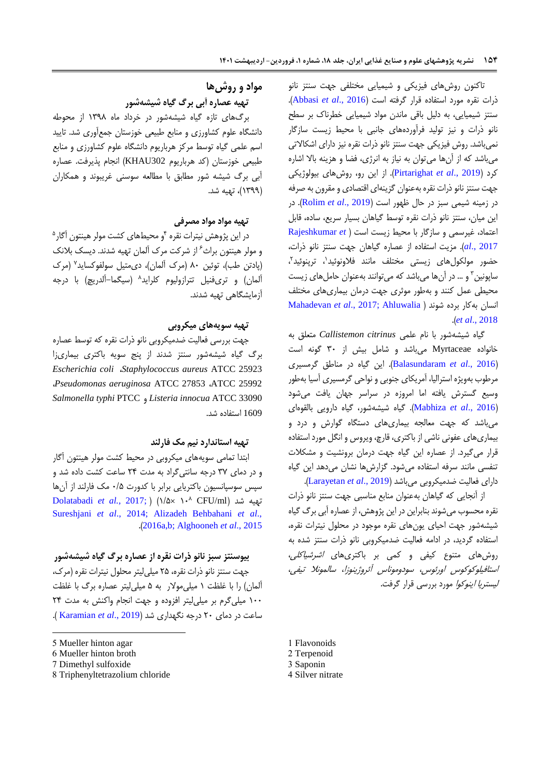تاکنون روشهای فیزیکی و شیمیایی مختلفی جهت سنتز نانو ذرات نقره مورد استفاده قرار گرفته است )2016 .,*al et* [Abbasi](#page-10-1)). سنتز شیمیایی، به دلیل باقی ماندن مواد شیمیایی خطرناک بر سطح نانو ذرات و نیز تولید فرآوردههای جانبی با محیط زیست سازگار نمیباشد. روش فیزیکی جهت سنتز نانو ذرات نقره نیز دارای اشکاالتی میباشد که از آنها میتوان به نیاز به انرژی، فضا و هزینه باال اشاره کرد )2019 .,*al et* [Pirtarighat](#page-12-3)). از این رو، روشهای بیولوژیکی جهت سنتز نانو ذرات نقره بهعنوان گزینهای اقتصادی و مقرون به صرفه در زمینه شیمی سبز در حال ظهور است )[2019 .,](#page-12-6)*al et* Rolim). در این میان، سنتز نانو ذرات نقره توسط گیاهان بسیار سریع، ساده، قابل اعتماد، غیرسمی و سازگار با محیط زیست است [\)](#page-12-7) *et* [Rajeshkumar](#page-12-7) [2017 .,](#page-12-7)*al*). مزیت استفاده از عصاره گیاهان جهت سنتز نانو ذرات، حضور مولکولهای زیستی مختلف مانند فلاونوئید'، ترپنوئید''، ساپونین <sup>۳</sup> و … در آنها میباشد که میتوانند بهعنوان حاملهای زیست محیطی عمل کنند و بهطور موثری جهت درمان بیماریهای مختلف انسان بهکار برده شوند [\)](#page-11-2) [Ahluwalia](#page-10-0);2017 .,*al et* [Mahadevan](#page-11-2) .)*et al*[., 2018](#page-10-0)

گیاه شیشهشور با نام علمی *citrinus Callistemon* متعلق به خانواده Myrtaceae میباشد و شامل بیش از 11 گونه است )2016 .,*al et* [Balasundaram](#page-10-2)). این گیاه در مناطق گرمسیری مرطوب بهویژه استرالیا، آمریکای جنوبی و نواحی گرمسیری آسیا بهطور وسیع گسترش یافته اما امروزه در سراسر جهان یافت میشود )2016 .,*al et* [Mabhiza](#page-11-3)). گیاه شیشهشور، گیاه دارویی بالقوهای میباشد که جهت معالجه بیماریهای دستگاه گوارش و درد و بیماریهای عفونی ناشی از باکتری، قارچ، ویروس و انگل مورد استفاده قرار میگیرد. از عصاره این گیاه جهت درمان برونشیت و مشکالت تنفسی مانند سرفه استفاده میشود. گزارشها نشان میدهد این گیاه دارای فعالیت ضدمیکروبی میباشد )2019 .,*al et* [Larayetan](#page-11-4)).

از آنجایی که گیاهان بهعنوان منابع مناسبی جهت سنتز نانو ذرات نقره محسوب میشوند بنابراین در این پژوهش، از عصاره آبی برگ گیاه شیشهشور جهت احیای یونهای نقره موجود در محلول نیترات نقره، استفاده گردید، در ادامه فعالیت ضدمیکروبی نانو ذرات سنتز شده به روشهای متنوع کیفی و کمی بر باکتریهای اشرشیاکلی، استافیلوکوکوس اورئوس، سودوموناس آئروژینوزا، سالمونال تیفی، لیستریا اینوکوا مورد بررسی قرار گرفت.

1 Flavonoids 2 Terpenoid

- 3 Saponin
- 4 Silver nitrate

## **مواد و روشها تهیه عصاره آبی برگ گیاه شیشهشور**

برگهای تازه گیاه شیشهشور در خرداد ماه 8131 از محوطه دانشگاه علوم کشاورزی و منابع طبیعی خوزستان جمعآوری شد. تایید اسم علمی گیاه توسط مرکز هرباریوم دانشگاه علوم کشاورزی و منابع طبیعی خوزستان )کد هرباریوم 302KHAU )انجام پذیرفت. عصاره آبی برگ شیشه شور مطابق با مطالعه سوسنی غریبوند و همکاران )8133(، تهیه شد.

#### **تهیه مواد مواد مصرفی**

در این پژوهش نیترات نقره <sup>۴</sup>و محیطهای کشت مولر هینتون اگار<sup>۵</sup> و مولر هینتون براث<sup>ع</sup> از شرکت مرک المان تهیه شدند. دیسک بلانک (پادتن طب)، توئین ۸۰ (مرک ألمان)، دیمتیل سولفوکساید<sup>۷</sup> (مرک المان) و تریفنیل تترازولیوم کلراید^ (سیگما–آلدریچ) با درجه آزمایشگاهی تهیه شدند.

#### **تهیه سویههای میکروبی**

جهت بررسی فعالیت ضدمیکروبی نانو ذرات نقره که توسط عصاره برگ گیاه شیشهشور سنتز شدند از پنج سویه باکتری بیماریزا *Escherichia coli* ،*Staphylococcus aureus* ATCC 25923 ،*Pseudomonas aeruginosa* ATCC 27853 ،ATCC 25992 *Salmonella typhi* PTCC و *Listeria innocua* ATCC 33090 1609 استفاده شد.

## **تهیه استاندارد نیم مک فارلند**

ابتدا تمامی سویههای میکروبی در محیط کشت مولر هینتون آگار و در دمای 15 درجه سانتیگراد به مدت 24 ساعت کشت داده شد و سپس سوسپانسیون باکتریایی برابر با کدورت 1/5 مک فارلند از آنها CFU/ml( تهیه شد الله 1 [Dolatabadi](#page-11-5)*et al.*, 2017; ) [Sureshjani](#page-12-8) *et al*., 2014; [Alizadeh Behbahani](#page-10-3) *et al*., .)[2016a](#page-10-3),b; Alghooneh *et al*., 2015

## **بیوسنتز سبز نانو ذرات نقره از عصاره برگ گیاه شیشهشور**

جهت سنتز نانو ذرات نقره، 25 میلیلیتر محلول نیترات نقره )مرک، آلمان) را با غلظت ۱ میلی مولار به ۵ میلی لیتر عصاره برگ با غلظت 811 میلیگرم بر میلیلیتر افزوده و جهت انجام واکنش به مدت 24 ساعت در دمای 21 درجه نگهداری شد )2019 .,*al et* [Karamian](#page-11-6)) .

1

- 7 Dimethyl sulfoxide
- 8 Triphenyltetrazolium chloride

<sup>5</sup> Mueller hinton agar

<sup>6</sup> Mueller hinton broth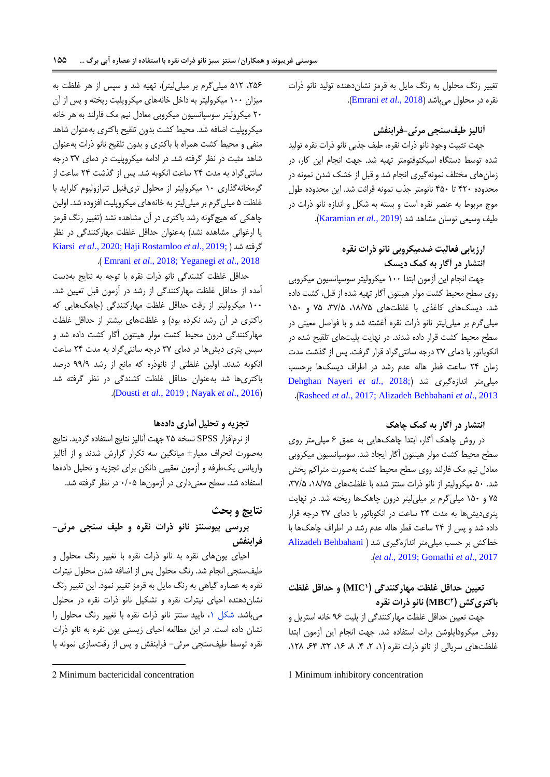تغییر رنگ محلول به رنگ مایل به قرمز نشاندهنده تولید نانو ذرات نقره در محلول میباشد )2018 .,*al et* [Emrani](#page-11-0)).

## **آنالیز طیفسنجی مرئی-فرابنفش**

جهت تثبیت وجود نانو ذرات نقره، طیف جذبی نانو ذرات نقره تولید شده توسط دستگاه اسپکتوفتومتر تهیه شد. جهت انجام این کار، در زمانهای مختلف نمونهگیری انجام شد و قبل از خشک شدن نمونه در محدوده 421 تا 451 نانومتر جذب نمونه قرائت شد. این محدوده طول موج مربوط به عنصر نقره است و بسته به شکل و اندازه نانو ذرات در طیف وسیعی نوسان مشاهد شد )2019 .,*al et* [Karamian](#page-11-6)).

# **ارزیابی فعالیت ضدمیکروبی نانو ذرات نقره انتشار در آگار به کمک دیسک**

جهت انجام این آزمون ابتدا 811 میکرولیتر سوسپانسیون میکروبی روی سطح محیط کشت مولر هینتون آگار تهیه شده از قبل، کشت داده شد. دیسکهای کاغذی با غلظتهای ،81/55 ،15/5 55 و 851 میلیگرم بر میلیلیتر نانو ذرات نقره آغشته شد و با فواصل معینی در سطح محیط کشت قرار داده شدند. در نهایت پلیتهای تلقیح شده در انکوباتور با دمای 15 درجه سانتیگراد قرار گرفت. پس از گذشت مدت زمان 24 ساعت قطر هاله عدم رشد در اطراف دیسکها برحسب [Dehghan Nayeri](#page-11-1) et al., 2018;) میلی متر اندازهگیری شد .)Rasheed *et al.*[, 2017; Alizadeh Behbahani](#page-12-2) *et al*., 2013

## **انتشار در آگار به کمک چاهک**

در روش چاهک آگار، ابتدا چاهکهایی به عمق 2 میلیمتر روی سطح محیط کشت مولر هینتون آگار ایجاد شد. سوسپانسیون میکروبی معادل نیم مک فارلند روی سطح محیط کشت بهصورت متراکم پخش شد. ۵۰ میکرولیتر از نانو ذرات سنتز شده با غلظتهای ۱۸/۷۵، ۳۷/۵، 55 و 851 میلیگرم بر میلیلیتر درون چاهکها ریخته شد. در نهایت پتریدیشها به مدت 24 ساعت در انکوباتور با دمای 15 درجه قرار داده شد و پس از 24 ساعت قطر هاله عدم رشد در اطراف چاهکها با خطکش بر حسب میلیمتر اندازهگیری شد ) Behbahani Alizadeh .)*et al*., 2019; [Gomathi](#page-11-7) *et al*., 2017

# **<sup>1</sup>MIC تعیین حداقل غلظت مهارکنندگی ) ( و حداقل غلظت <sup>2</sup>MBC باکتریکش ) ( نانو ذرات نقره**

جهت تعیین حداقل غلظت مهارکنندگی از پلیت 32 خانه استریل و روش میکرودایلوشن براث استفاده شد. جهت انجام این آزمون ابتدا غلظتهای سریالی از نانو ذرات نقره (۱، ۲، ۴، ۸، ۶۲، ۳۲، ۶۴، ۱۲۸،

1 Minimum inhibitory concentration

،252 582 میلیگرم بر میلیلیتر(، تهیه شد و سپس از هر غلظت به میزان 811 میکرولیتر به داخل خانههای میکروپلیت ریخته و پس از آن 21 میکرولیتر سوسپانسیون میکروبی معادل نیم مک فارلند به هر خانه میکروپلیت اضافه شد. محیط کشت بدون تلقیح باکتری بهعنوان شاهد منفی و محیط کشت همراه با باکتری و بدون تلقیح نانو ذرات بهعنوان شاهد مثبت در نظر گرفته شد. در ادامه میکروپلیت در دمای 15 درجه سانتیگراد به مدت 24 ساعت انکوبه شد. پس از گذشت 24 ساعت از گرمخانهگذاری 81 میکرولیتر از محلول تریفنیل تترازولیوم کلراید با غلظت ۵ میلی گرم بر میلی لیتر به خانههای میکروپلیت افزوده شد. اولین چاهکی که هیچگونه رشد باکتری در آن مشاهده نشد )تغییر رنگ قرمز یا ارغوانی مشاهده نشد) بهعنوان حداقل غلظت مهارکنندگی در نظر Kiarsi *et al*[., 2020;](#page-11-8) [Haji Rostamloo](#page-11-9) *et al*., 2019; [\(](#page-11-8) شد گرفته .) Emrani *et al*[., 2018;](#page-11-0) [Yeganegi](#page-12-9) *et al*., 2018

حداقل غلظت کشندگی نانو ذرات نقره با توجه به نتایج بهدست آمده از حداقل غلظت مهارکنندگی از رشد در آزمون قبل تعیین شد. 811 میکرولیتر از رقت حداقل غلظت مهارکنندگی )چاهکهایی که باکتری در آن رشد نکرده بود( و غلظتهای بیشتر از حداقل غلظت مهارکنندگی درون محیط کشت مولر هینتون آگار کشت داده شد و سپس پتری دیشها در دمای 15 درجه سانتیگراد به مدت 24 ساعت انکوبه شدند. اولین غلظتی از نانوذره که مانع از رشد 33/3 درصد باکتریها شد بهعنوان حداقل غلظت کشندگی در نظر گرفته شد .)Dousti *et al*[., 2019](#page-11-11) ; [Nayak](#page-11-10) *et al*., 2016(

## **تجزیه و تحلیل آماری دادهها**

از نرمافزار SPSS نسخه 25 جهت آنالیز نتایج استفاده گردید. نتایج بهصورت انحراف معیار± میانگین سه تکرار گزارش شدند و از آنالیز واریانس یکطرفه و آزمون تعقیبی دانکن برای تجزیه و تحلیل دادهها استفاده شد. سطح معنیداری در آزمونها 1/15 در نظر گرفته شد.

## **نتایج و بحث**

# **بررسی بیوسنتز نانو ذرات نقره و طیف سنجی مرئی- فرابنفش**

احیای یونهای نقره به نانو ذرات نقره با تغییر رنگ محلول و طیفسنجی انجام شد. رنگ محلول پس از اضافه شدن محلول نیترات نقره به عصاره گیاهی به رنگ مایل به قرمز تغییر نمود. این تغییر رنگ نشاندهنده احیای نیترات نقره و تشکیل نانو ذرات نقره در محلول میباشد. [شکل ،8](#page-5-0) تایید سنتز نانو ذرات نقره با تغییر رنگ محلول را نشان داده است. در این مطالعه احیای زیستی یون نقره به نانو ذرات نقره توسط طیفسنجی مرئی- فرابنفش و پس از رقتسازی نمونه با

1

<sup>2</sup> Minimum bactericidal concentration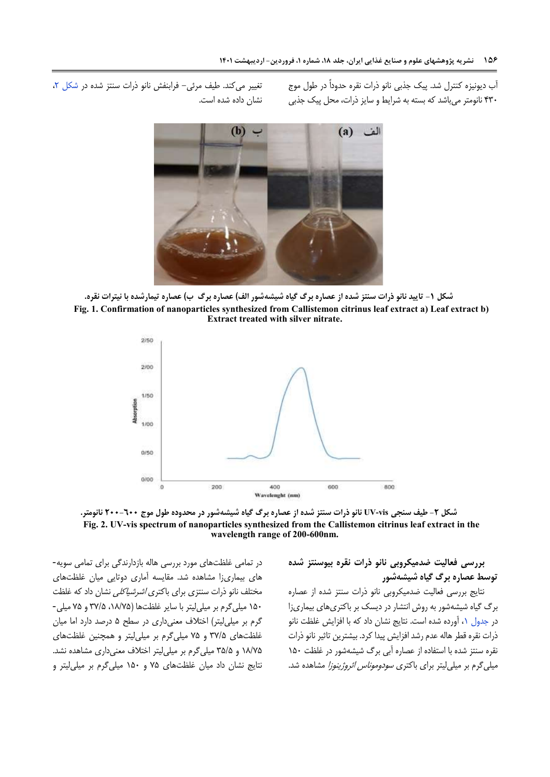<span id="page-5-0"></span>آب دیونیزه کنترل شد. پیک جذبی نانو ذرات نقره حدوداً در طول موج 411 نانومتر میباشد که بسته به شرایط و سایز ذرات، محل پیک جذبی

تغییر میکند. طیف مرئی- فرابنفش نانو ذرات سنتز شده در شکل ۲، نشان داده شده است.



**شکل -1 تایید نانو ذرات سنتز شده از عصاره برگ گیاه شیشهشور الف( عصاره برگ ب( عصاره تیمارشده با نیترات نقره. Fig. 1. Confirmation of nanoparticles synthesized from Callistemon citrinus leaf extract a) Leaf extract b) Extract treated with silver nitrate.**



**شکل -2 طیف سنجی vis-UV نانو ذرات سنتز شده از عصاره برگ گیاه شیشهشور در محدوده طول موج 266-066 نانومتر. Fig. 2. UV-vis spectrum of nanoparticles synthesized from the Callistemon citrinus leaf extract in the wavelength range of 200-600nm.**

<span id="page-5-1"></span>**بررسی فعالیت ضدمیکروبی نانو ذرات نقره بیوسنتز شده توسط عصاره برگ گیاه شیشهشور**

نتایج بررسی فعالیت ضدمیکروبی نانو ذرات سنتز شده از عصاره برگ گیاه شیشهشور به روش انتشار در دیسک بر باکتریهای بیماریزا در جدول ۱، آورده شده است. نتایج نشان داد که با افزایش غلظت نانو ذرات نقره قطر هاله عدم رشد افزایش پیدا کرد. بیشترین تاثیر نانو ذرات نقره سنتز شده با استفاده از عصاره آبی برگ شیشهشور در غلظت 851 میلیگرم بر میلی لیتر برای باکتری *سودوموناس ائروژینوزا* مشاهده شد.

در تمامی غلظتهای مورد بررسی هاله بازدارندگی برای تمامی سویه- های بیماریزا مشاهده شد. مقایسه آماری دوتایی میان غلظتهای مختلف نانو ذرات سنتزی برای باکتری *اشرشیاکلی ن*شان داد که غلظت 851 میلیگرم بر میلیلیتر با سایر غلظتها )،81/55 15/5 و 55 میلی- گرم بر میلی لیتر) اختلاف معنی داری در سطح ۵ درصد دارد اما میان غلظتهای 15/5 و 55 میلیگرم بر میلیلیتر و همچنین غلظتهای 81/55 و 15/5 میلیگرم بر میلیلیتر اختالف معنیداری مشاهده نشد. نتایج نشان داد میان غلظتهای 55 و 851 میلیگرم بر میلیلیتر و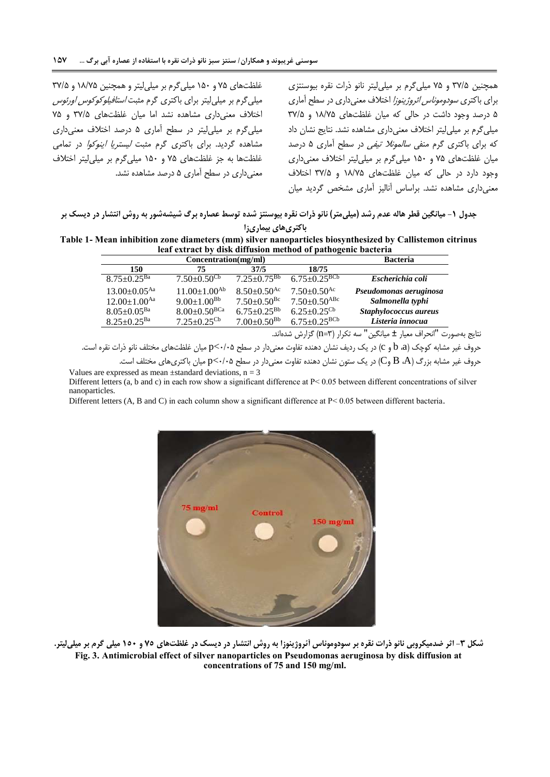غلظتهای 55 و 851 میلیگرم بر میلیلیتر و همچنین 81/55 و 15/5 میلیگرم بر میلیلیتر برای باکتری گرم مثبت استافیلوکوکوس اورئوس اختالف معنیداری مشاهده نشد اما میان غلظتهای 15/5 و 55 میلیگرم بر میلیلیتر در سطح آماری 5 درصد اختالف معنیداری مشاهده گردید. برای باکتری گرم مثبت لیستریا اینوکوا در تمامی غلظتها به جز غلظتهای 55 و 851 میلیگرم بر میلیلیتر اختالف معنیداری در سطح آماری 5 درصد مشاهده نشد.

<span id="page-6-0"></span>همچنین 15/5 و 55 میلیگرم بر میلیلیتر نانو ذرات نقره بیوسنتزی برای باکتری سودوموناس ائروژینوزا اختالف معنیداری در سطح آماری 5 درصد وجود داشت در حالی که میان غلظتهای 81/55 و 15/5 میلیگرم بر میلیلیتر اختالف معنیداری مشاهده نشد. نتایج نشان داد که برای باکتری گرم منفی *سالمونلا تیفی* در سطح آماری ۵ درصد میان غلظتهای 55 و 851 میلیگرم بر میلیلیتر اختالف معنیداری وجود دارد در حالی که میان غلظتهای 81/55 و 15/5 اختالف معنیداری مشاهده نشد. براساس آنالیز آماری مشخص گردید میان

**جدول -1 میانگین قطر هاله عدم رشد )میلیمتر( نانو ذرات نقره بیوسنتز شده توسط عصاره برگ شیشهشور به روش انتشار در دیسک بر باکتریهای بیماریزا**

**Table 1- Mean inhibition zone diameters (mm) silver nanoparticles biosynthesized by Callistemon citrinus leaf extract by disk diffusion method of pathogenic bacteria**

|                                | <b>Bacteria</b>               |                               |                                |                        |
|--------------------------------|-------------------------------|-------------------------------|--------------------------------|------------------------|
| 150                            | 75                            | 37/5                          | 18/75                          |                        |
| $8.75 \pm 0.25$ <sup>Ba</sup>  | $7.50 \pm 0.50$ <sup>Cb</sup> | $7.25 \pm 0.75$ <sup>Bb</sup> | $6.75 \pm 0.25$ <sup>BCb</sup> | Escherichia coli       |
| $13.00 \pm 0.05^{\text{Aa}}$   | $11.00 \pm 1.00^{Ab}$         | $8.50+0.50^{Ac}$              | $7.50 \pm 0.50$ <sup>Ac</sup>  | Pseudomonas aeruginosa |
| $12.00 \pm 1.00$ <sup>Aa</sup> | $9.00 \pm 1.00^{Bb}$          | $7.50 \pm 0.50$ <sup>Bc</sup> | $7.50 \pm 0.50$ <sup>ABc</sup> | Salmonella typhi       |
| $8.05 \pm 0.05^{Ba}$           | $8.00+0.50^{BCa}$             | $6.75 \pm 0.25^{Bb}$          | $6.25 \pm 0.25$ <sup>Cb</sup>  | Staphylococcus aureus  |
| $8.25 \pm 0.25$ <sup>Ba</sup>  | $7.25 \pm 0.25$ <sup>Cb</sup> | $7.00 \pm 0.50^{Bb}$          | $6.75 \pm 0.25$ <sup>BCb</sup> | Listeria innocua       |
|                                |                               |                               |                                |                        |

<span id="page-6-1"></span>نتایج بهصورت "انحراف معیار ± میانگین" سه تکرار )1=n )گزارش شدهاند.

حروف غیر مشابه کوچک (d، b، a) در یک ردیف نشان دهنده تفاوت معنیدار در سطح ۲۰٬۰۵ میان غلظتهای مختلف نانو ذرات نقره است.

حروف غیر مشابه بزرگ (B، A وC) در یک ستون نشان دهنده تفاوت معنیدار در سطح ۲۰/۰۵\$ میان باکتریهای مختلف است. Values are expressed as mean  $\pm$ standard deviations, n = 3

Different letters (a, b and c) in each row show a significant difference at P< 0.05 between different concentrations of silver nanoparticles.

Different letters (A, B and C) in each column show a significant difference at P < 0.05 between different bacteria.



**شکل -3 اثر ضدمیکروبی نانو ذرات نقره بر سودوموناس آئروژینوزا به روش انتشار در دیسک در غلظتهای 57 و 176 میلی گرم بر میلیلیتر. Fig. 3. Antimicrobial effect of silver nanoparticles on Pseudomonas aeruginosa by disk diffusion at concentrations of 75 and 150 mg/ml.**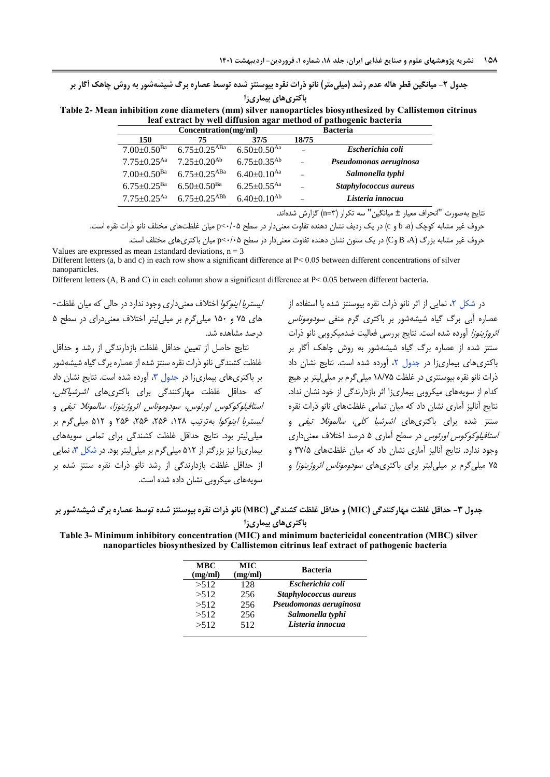**جدول -2 میانگین قطر هاله عدم رشد )میلیمتر( نانو ذرات نقره بیوسنتز شده توسط عصاره برگ شیشهشور به روش چاهک آگار بر** 

<span id="page-7-0"></span>**باکتریهای بیماریزا**

**Table 2- Mean inhibition zone diameters (mm) silver nanoparticles biosynthesized by Callistemon citrinus leaf extract by well diffusion agar method of pathogenic bacteria**

| Concentration(mg/ml)          |                                |                               | <b>Bacteria</b> |                        |
|-------------------------------|--------------------------------|-------------------------------|-----------------|------------------------|
| 150                           | 75                             | 37/5                          | 18/75           |                        |
| $7.00 \pm 0.50$ <sup>Ba</sup> | $6.75 \pm 0.25$ <sup>ABa</sup> | $6.50 \pm 0.50$ <sup>Aa</sup> |                 | Escherichia coli       |
| $7.75 \pm 0.25$ <sup>Aa</sup> | $7.25+0.20^{Ab}$               | $6.75 \pm 0.35$ <sup>Ab</sup> |                 | Pseudomonas aeruginosa |
| $7.00 \pm 0.50$ <sup>Ba</sup> | $6.75 \pm 0.25$ <sup>ABa</sup> | $6.40 \pm 0.10$ <sup>Aa</sup> |                 | Salmonella typhi       |
| $6.75 \pm 0.25$ <sup>Ba</sup> | $6.50 \pm 0.50$ <sup>Ba</sup>  | $6.25 \pm 0.55$ <sup>Aa</sup> |                 | Staphylococcus aureus  |
| $7.75 \pm 0.25$ <sup>Aa</sup> | $6.75 + 0.25$ <sup>ABb</sup>   | $6.40 \pm 0.10^{Ab}$          |                 | Listeria innocua       |
|                               |                                |                               |                 |                        |

نتایج بهصورت "انحراف معیار ± میانگین" سه تکرار )1=n )گزارش شدهاند.

حروف غیر مشابه کوچک (c و b، d ) در یک ردیف نشان دهنده تفاوت معنیدار در سطح ۲۰۸۵-p میان غلظتهای مختلف نانو ذرات نقره است.

حروف غیر مشابه بزرگ )A، B وC )در یک ستون نشان دهنده تفاوت معنیدار در سطح 1/15>p میان باکتریهای مختلف است. Values are expressed as mean  $\pm$ standard deviations, n = 3

Different letters (a, b and c) in each row show a significant difference at P < 0.05 between different concentrations of silver nanoparticles.

Different letters (A, B and C) in each column show a significant difference at P< 0.05 between different bacteria.

لیستریا اینوکوا اختالف معنیداری وجود ندارد در حالی که میان غلظت- های 55 و 851 میلیگرم بر میلیلیتر اختالف معنیدرای در سطح 5 درصد مشاهده شد.

نتایج حاصل از تعیین حداقل غلظت بازدارندگی از رشد و حداقل غلظت کشندگی نانو ذرات نقره سنتز شده از عصاره برگ گیاه شیشهشور بر باکتری های بیماریزا در جدول ٣، آورده شده است. نتایج نشان داد که حداقل غلظت مهارکنندگی برای باکتریهای اشرشیاکلی، استافیلوکوکوس اورئوس، سودوموناس ائروژینوزا، سالمونال تیفی و لیستریا اینوکوا بهترتیب ،821 ،252 ،252 252 و 582 میلیگرم بر میلیلیتر بود. نتایج حداقل غلظت کشندگی برای تمامی سویههای بیماریزا نیز بزرگتر از ۵۱۲ میلیگرم بر میلی لیتر بود. در شکل ۳، نمایی از حداقل غلظت بازدارندگی از رشد نانو ذرات نقره سنتز شده بر سویههای میکروبی نشان داده شده است.

<span id="page-7-1"></span>در شکل ۲، نمایی از اثر نانو ذرات نقره بیوسنتز شده با استفاده از عصاره آبی برگ گیاه شیشهشور بر باکتری گرم منفی سودوموناس ائروژینوزا آورده شده است. نتایج بررسی فعالیت ضدمیکروبی نانو ذرات سنتز شده از عصاره برگ گیاه شیشهشور به روش چاهک آگار بر باکتریهای بیماریزا در [جدول ،2](#page-7-0) آورده شده است. نتایج نشان داد ذرات نانو نقره بیوسنتری در غلظت 81/55 میلیگرم بر میلیلیتر بر هیچ کدام از سویههای میکروبی بیماریزا اثر بازدارندگی از خود نشان نداد. نتایج آنالیز آماری نشان داد که میان تمامی غلظتهای نانو ذرات نقره سنتز شده برای باکتریها*ی اشرشیا کلی، سالمونلا تیفی* و استافیلوکوکوس اورئوس در سطح آماری 5 درصد اختالف معنیداری وجود ندارد. نتایج آنالیز آماری نشان داد که میان غلظتهای 15/5 و ۷۵ میلی گرم بر میلی لیتر برای باکتری های *سودوموناس ائروژینوزا* و

**جدول -3 حداقل غلظت مهارکنندگی )MIC )و حداقل غلظت کشندگی )MBC )نانو ذرات نقره بیوسنتز شده توسط عصاره برگ شیشهشور بر باکتریهای بیماریزا**

**Table 3- Minimum inhibitory concentration (MIC) and minimum bactericidal concentration (MBC) silver nanoparticles biosynthesized by Callistemon citrinus leaf extract of pathogenic bacteria**

| <b>MBC</b><br>(mg/ml) | <b>MIC</b><br>(mg/ml) | <b>Bacteria</b>        |
|-----------------------|-----------------------|------------------------|
| >512                  | 128                   | Escherichia coli       |
| >512                  | 256                   | Staphylococcus aureus  |
| >512                  | 256                   | Pseudomonas aeruginosa |
| >512                  | 256                   | Salmonella typhi       |
| >512                  | 512                   | Listeria innocua       |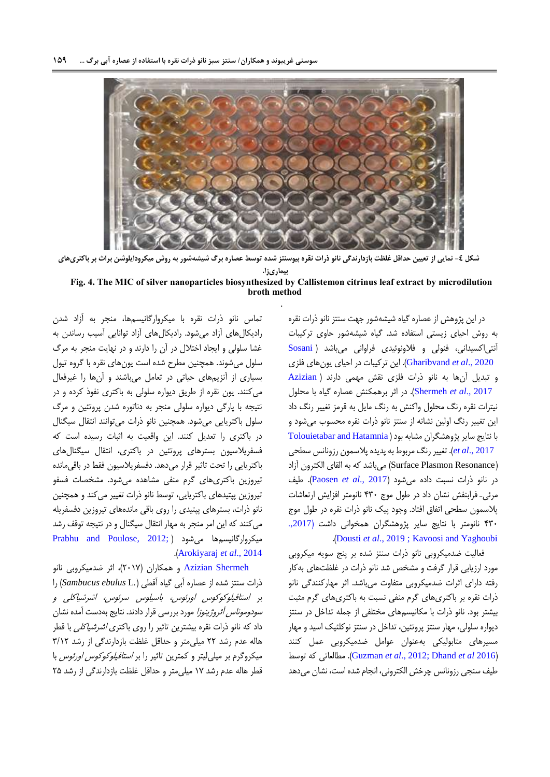

**شکل -4 نمایی از تعیین حداقل غلظت بازدارندگی نانو ذرات نقره بیوسنتز شده توسط عصاره برگ شیشهشور به روش میکرودایلوشن براث بر باکتریهای** 

**بیماریزا.**

**Fig. 4. The MIC of silver nanoparticles biosynthesized by Callistemon citrinus leaf extract by microdilution broth method**

.

در این پژوهش از عصاره گیاه شیشهشور جهت سنتز نانو ذرات نقره به روش احیای زیستی استفاده شد. گیاه شیشهشور حاوی ترکیبات آنتیاکسیدانی، فنولی و فالونوئیدی فراوانی میباشد [\)](#page-12-10) [Sosani](#page-12-10) 2020 .,*al et* [Gharibvand](#page-12-10)). این ترکیبات در احیای یونهای فلزی و تبدیل آنها به نانو ذرات فلزی نقش مهمی دارند [\)](#page-10-3) [Azizian](#page-10-3) 2017 .,*al et* [Shermeh](#page-10-3)). در اثر برهمکنش عصاره گیاه با محلول نیترات نقره رنگ محلول واکنش به رنگ مایل به قرمز تغییر رنگ داد این تغییر رنگ اولین نشانه از سنتز نانو ذرات نقره محسوب میشود و با نتایج سایر پژوهشگران مشابه بود ( Tolouietabar and Hatamnia  [2017 .,](#page-12-11)*al et*). تغییر رنگ مربوط به پدیده پالسمون رزونانس سطحی )Resonance Plasmon Surface )میباشد که به القای الکترون آزاد در نانو ذرات نسبت داده میشود )2017 .,*al et* [Paosen](#page-12-12)). طیف مرئی- فرابنفش نشان داد در طول موج 411 نانومتر افزایش ارتعاشات پالسمون سطحی اتفاق افتاد. وجود پیک نانو ذرات نقره در طول موج 411 نانومتر با نتایج سایر پژوهشگران همخوانی داشت )[.,2017](#page-11-12) .)Dousti *et al*[., 2019](#page-11-11) ; [Kavoosi and Yaghoubi](#page-11-12)

فعالیت ضدمیکروبی نانو ذرات سنتز شده بر پنج سویه میکروبی مورد ارزیابی قرار گرفت و مشخص شد نانو ذرات در غلظتهای بهکار رفته دارای اثرات ضدمیکروبی متفاوت میباشد. اثر مهارکنندگی نانو ذرات نقره بر باکتریهای گرم منفی نسبت به باکتریهای گرم مثبت بیشتر بود. نانو ذرات با مکانیسمهای مختلفی از جمله تداخل در سنتز دیواره سلولی، مهار سنتز پروتئین، تداخل در سنتز نوکلئیک اسید و مهار مسیرهای متابولیکی بهعنوان عوامل ضدمیکروبی عمل کنند توسط که مطالعاتی .([Guzman](#page-11-13) *et al*., 2012; [Dhand](#page-11-14) *et al* 201[6](#page-11-13)( طیف سنجی رزونانس چرخش الکترونی، انجام شده است، نشان میدهد

تماس نانو ذرات نقره با میکروارگانیسمها، منجر به آزاد شدن رادیکالهای آزاد میشود. رادیکالهای آزاد توانایی آسیب رساندن به غشا سلولی و ایجاد اختالل در آن را دارند و در نهایت منجر به مرگ سلول میشوند. همچنین مطرح شده است یونهای نقره با گروه تیول بسیاری از آنزیمهای حیاتی در تعامل میباشند و آنها را غیرفعال میکنند. یون نقره از طریق دیواره سلولی به باکتری نفوذ کرده و در نتیجه با پارگی دیواره سلولی منجر به دناتوره شدن پروتئین و مرگ سلول باکتریایی میشود. همچنین نانو ذرات میتوانند انتقال سیگنال در باکتری را تعدیل کنند. این واقعیت به اثبات رسیده است که فسفریالسیون بسترهای پروتئین در باکتری، انتقال سیگنالهای باکتریایی را تحت تاثیر قرار میدهد. دفسفریالسیون فقط در باقیمانده تیروزین باکتریهای گرم منفی مشاهده میشود. مشخصات فسفو تیروزین پپتیدهای باکتریایی، توسط نانو ذرات تغییر میکند و همچنین نانو ذرات، بسترهای پپتیدی را روی باقی ماندههای تیروزین دفسفریله میکنند که این امر منجر به مهار انتقال سیگنال و در نتیجه توقف رشد [Prabhu and Poulose, 2012;](#page-12-13) ( میشود میکروارگانیسمها .)[Arokiyaraj](#page-10-4) *et al*., 2014

[Shermeh Azizian](#page-10-5) و همکاران )2185(، اثر ضدمیکروبی نانو ذرات سنتز شده از عصاره آبی گیاه آقطی )*.*L *ebulus Sambucus* )را بر استافیلوکوکوس اورئوس، باسیلوس سرئوس، اشرشیاکلی و س*ودوموناس آئروژینوزا* مورد بررسی قرار دادند. نتایج بهدست آمده نشان داد که نانو ذرات نقره بیشترین تاثیر را روی باکتری *اشرشیاکلی* با قطر هاله عدم رشد 22 میلیمتر و حداقل غلظت بازدارندگی از رشد 1/82 میکروگرم بر میلیلیتر و کمترین تاثیر را بر *استافیلوکوکوس اورئوس* با قطر هاله عدم رشد 85 میلیمتر و حداقل غلظت بازدارندگی از رشد 25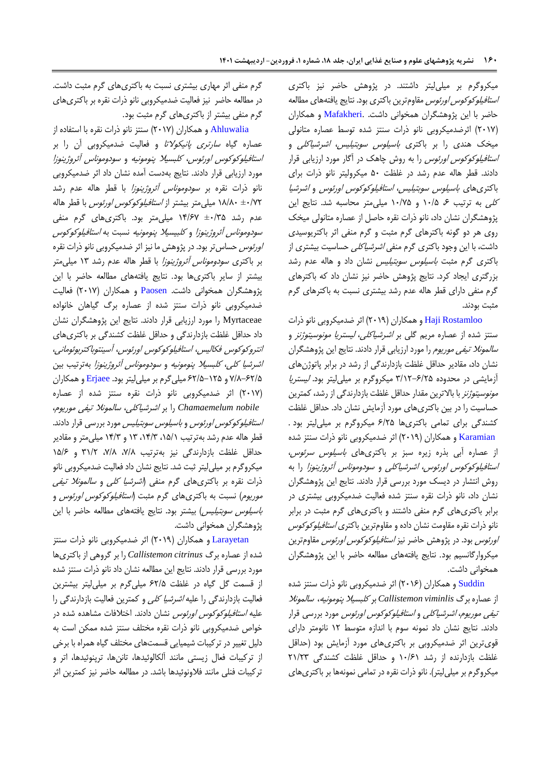میکروگرم بر میلیلیتر داشتند. در پژوهش حاضر نیز باکتری *استافیلوکوکوس اورئوس* مقاومترین باکتری بود. نتایج یافتههای مطالعه حاضر با این پژوهشگران همخوانی داشت. [.Mafakheri](#page-11-15) و همکاران )2185( اثرضدمیکروبی نانو ذرات سنتز شده توسط عصاره متانولی میخک هندی را بر باکتری باسیلوس سوبتیلیس، اشرشیاکلی و *استافیلوکوکوس اورئوس* را به روش چاهک در آگار مورد ارزیابی قرار دادند. قطر هاله عدم رشد در غلظت 51 میکرولیتر نانو ذرات برای باکتریهای باسیلوس سوبتیلیس، استافیلوکوکوس اورئوس و اشرشیا کلی به ترتیب ۶ /۱۰/۵ و ۱۰/۷۵ میلی متر محاسبه شد. نتایج این پژوهشگران نشان داد، نانو ذرات نقره حاصل از عصاره متانولی میخک روی هر دو گونه باکترهای گرم مثبت و گرم منفی اثر باکتریوسیدی داشت، با این وجود باکتری گرم منفی اشرشیاکلی حساسیت بیشتری از باکتری گرم مثبت باسیلوس سوبتیلیس نشان داد و هاله عدم رشد بزرگتری ایجاد کرد. نتایج پژوهش حاضر نیز نشان داد که باکترهای گرم منفی دارای قطر هاله عدم رشد بیشتری نسبت به باکترهای گرم مثبت بودند.

[Rostamloo Haji](#page-11-9) و همکاران )2183( اثر ضدمیکروبی نانو ذرات سنتز شده از عصاره مریم گلی بر اشرشیاکلی، لیستریا مونوسیتوژنز و *سالمونلا تیفی موریوم* را مورد ارزیابی قرار دادند. نتایج این پژوهشگران نشان داد، مقادیر حداقل غلظت بازدارندگی از رشد در برابر پاتوژنهای آزمایشی در محدوده 1/82-2/25 میکروگرم بر میلیلیتر بود. لیستریا *مونوسیتوژنز* با بالاترین مقدار حداقل غلظت بازدارندگی از رشد، کمترین حساسیت را در بین باکتریهای مورد آزمایش نشان داد. حداقل غلظت کشندگی برای تمامی باکتریها 2/25 میکروگرم بر میلیلیتر بود .  [Karamian](#page-11-6) و همکاران )2183( اثر ضدمیکروبی نانو ذرات سنتز شده از عصاره آبی بذره زیره سبز بر باکتریهای باسیلوس سرئوس، استافیلوکوکوس اورئوس، اشرشیاکلی و سودوموناس آئروژینوزا را به روش انتشار در دیسک مورد بررسی قرار دادند. نتایج این پژوهشگران نشان داد، نانو ذرات نقره سنتز شده فعالیت ضدمیکروبی بیشتری در برابر باکتریهای گرم منفی داشتند و باکتریهای گرم مثبت در برابر نانو ذرات نقره مقاومت نشان داده و مقاومترین باکتری استافیلوکوکوس ا*ورئوس* بود. در پژوهش حاضر نیز *استافیلوکوکوس اورئوس* مقاومترین میکروارگانسیم بود. نتایج یافتههای مطالعه حاضر با این پژوهشگران همخوانی داشت.

[Suddin](#page-12-14) و همکاران )2182( اثر ضدمیکروبی نانو ذرات سنتز شده از عصاره برگ *viminlis Callistemon* بر کلبسیال پنومونیه، سالمونال تیفی موریوم، اشرشیاکلی و استافیلوکوکوس اورئوس مورد بررسی قرار دادند. نتایج نشان داد نمونه سوم با اندازه متوسط 82 نانومتر دارای قویترین اثر ضدمیکروبی بر باکتریهای مورد آزمایش بود )حداقل غلظت بازدارنده از رشد 81/28 و حداقل غلظت کشندگی 28/21 میکروگرم بر میلی لیتر). نانو ذرات نقره در تمامی نمونهها بر باکتریهای

گرم منفی اثر مهاری بیشتری نسبت به باکتریهای گرم مثبت داشت. در مطالعه حاضر نیز فعالیت ضدمیکروبی نانو ذرات نقره بر باکتریهای گرم منفی بیشتر از باکتریهای گرم مثبت بود.

[Ahluwalia](#page-10-0) و همکاران )2185( سنتز نانو ذرات نقره با استفاده از عصاره گیاه *سارتری پانیکولاتا* و فعالیت ضدمیکروبی آن را بر استافیلوکوکوس اورئوس، کلبسیال پنومونیه و سودوموناس آئروژینوزا مورد ارزیابی قرار دادند. نتایج بهدست آمده نشان داد اثر ضدمیکروبی نانو ذرات نقره بر سودوموناس آئروژینوزا با قطر هاله عدم رشد ±1/52 81/11 میلیمتر بیشتر از استافیلوکوکوس اورئوس با قطر هاله عدم رشد ±1/15 84/25 میلیمتر بود. باکتریهای گرم منفی سودوموناس آئروژینوزا و کلبیسیال پنومونیه نسبت به استافیلوکوکوس *اورئوس* حساس تر بود. در پژوهش ما نیز اثر ضدمیکروبی نانو ذرات نقره بر باکتری *سودوموناس آئروژینوزا* با قطر هاله عدم رشد ۱۳ میل<sub>ی</sub>متر بیشتر از سایر باکتریها بود. نتایج یافتههای مطالعه حاضر با این پژوهشگران همخوانی داشت. [Paosen](#page-12-12) و همکاران )2185( فعالیت ضدمیکروبی نانو ذرات سنتز شده از عصاره برگ گیاهان خانواده Myrtaceae را مورد ارزیابی قرار دادند. نتایج این پژوهشگران نشان داد حداقل غلظت بازدارندگی و حداقل غلظت کشندگی بر باکتریهای انتروکوکوس فکالیس، استافیلوکوکوس اورئوس، آسینتوباکتربوئومانی، اشرشیا کلی، کلبسیال پنومونیه و سودوموناس آئروژینوزا بهترتیب بین 5/1-22/5 و 22/5-825 میلیگرم بر میلیلیتر بود. [Erjaee](#page-11-16) و همکاران )2185( اثر ضدمیکروبی نانو ذرات نقره سنتز شده از عصاره  *nobile Chamaemelum* را بر اشرشیاکلی، سالمونال تیفی موریوم، *استافیلوکوکوس اورئوس و باسیلوس سوبتیلیس* مورد بررسی قرار دادند. قطر هاله عدم رشد بهترتیب ،85/8 ،84/1 81 و 84/1 میلیمتر و مقادیر حداقل غلظت بازدارندگی نیز بهترتیب ۷/۸، ۷/۸، ۳۱/۲ و ۱۵/۶ میکروگرم بر میلیلیتر ثبت شد. نتایج نشان داد فعالیت ضدمیکروبی نانو ذرات نقره بر باکتریهای گرم منفی (*اشرشیا کلی و سالمونلا تیفی* م*وریوم*) نسبت به باکتریهای گرم مثبت *(استافیلوکوکوس اورئوس* و باسیلوس سوبتیلیس( بیشتر بود. نتایج یافتههای مطالعه حاضر با این پژوهشگران همخوانی داشت.

[Larayetan](#page-11-4) و همکاران )2183( اثر ضدمیکروبی نانو ذرات سنتز شده از عصاره برگ *citrinus Callistemon* را بر گروهی از باکتریها مورد بررسی قرار دادند. نتایج این مطالعه نشان داد نانو ذرات سنتز شده از قسمت گل گیاه در غلظت 22/5 میلیگرم بر میلیلیتر بیشترین فعالیت بازدارندگی را علیه اشرشیا کلی و کمترین فعالیت بازدارندگی را علیه *استافیلوکوکوس اورئوس* نشان دادند. اختلافات مشاهده شده در خواص ضدمیکروبی نانو ذرات نقره مختلف سنتز شده ممکن است به دلیل تغییر در ترکیبات شیمیایی قسمتهای مختلف گیاه همراه با برخی از ترکیبات فعال زیستی مانند آلکالوئیدها، تاننها، ترپنوئیدها، اتر و ترکیبات فنلی مانند فالونوئیدها باشد. در مطالعه حاضر نیز کمترین اثر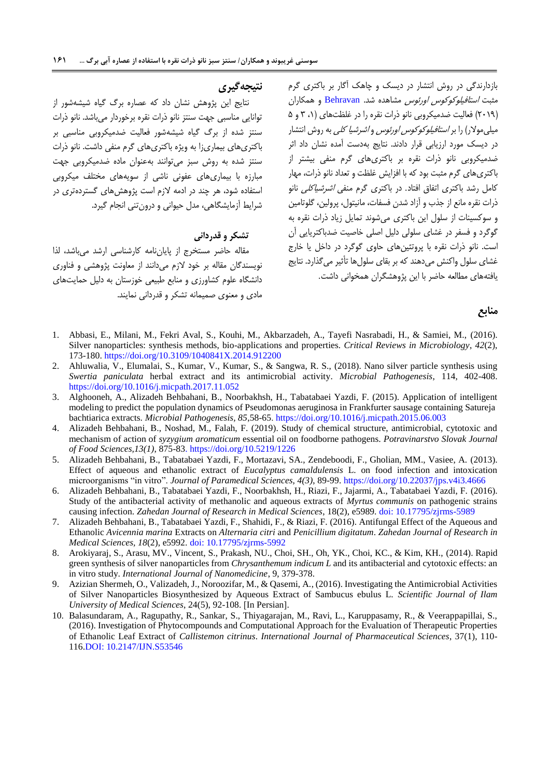# **نتیجهگیری**

نتایج این پژوهش نشان داد که عصاره برگ گیاه شیشهشور از توانایی مناسبی جهت سنتز نانو ذرات نقره برخوردار میباشد. نانو ذرات سنتز شده از برگ گیاه شیشهشور فعالیت ضدمیکروبی مناسبی بر باکتریهای بیماریزا به ویژه باکتریهای گرم منفی داشت. نانو ذرات سنتز شده به روش سبز میتوانند بهعنوان ماده ضدمیکروبی جهت مبارزه با بیماریهای عفونی ناشی از سویههای مختلف میکروبی استفاده شود، هر چند در ادمه الزم است پژوهشهای گستردهتری در شرایط آزمایشگاهی، مدل حیوانی و درونتنی انجام گیرد.

## **تشکر و قدردانی**

مقاله حاضر مستخرج از پایاننامه کارشناسی ارشد میباشد، لذا نویسندگان مقاله بر خود الزم میدانند از معاونت پژوهشی و فناوری دانشگاه علوم کشاورزی و منابع طبیعی خوزستان به دلیل حمایتهای مادی و معنوی صمیمانه تشکر و قدردانی نمایند. بازدارندگی در روش انتشار در دیسک و چاهک آگار بر باکتری گرم مثبت استافیلوکوکوس اورئوس مشاهده شد. [Behravan](#page-11-17) و همکاران (٢٠١٩) فعالیت ضدمیکروبی نانو ذرات نقره را در غلظتهای (١، ٣ و ۵ میلیمولار) را بر *استافیلوکوکوس اورئوس و اشرشیا کلی* به روش انتشار در دیسک مورد ارزیابی قرار دادند. نتایج بهدست آمده نشان داد اثر ضدمیکروبی نانو ذرات نقره بر باکتریهای گرم منفی بیشتر از باکتریهای گرم مثبت بود که با افزایش غلظت و تعداد نانو ذرات، مهار کامل رشد باکتری اتفاق افتاد. در باکتری گرم منفی اشرشیاکلی نانو ذرات نقره مانع از جذب و آزاد شدن فسفات، مانیتول، پرولین، گلوتامین و سوکسینات از سلول این باکتری میشوند تمایل زیاد ذرات نقره به گوگرد و فسفر در غشای سلولی دلیل اصلی خاصیت ضدباکتریایی آن است. نانو ذرات نقره با پروتئینهای حاوی گوگرد در داخل یا خارج غشای سلول واکنش میدهند که بر بقای سلولها تأثیر میگذارد. نتایج یافتههای مطالعه حاضر با این پژوهشگران همخوانی داشت.

#### **منابع**

- <span id="page-10-1"></span>1. Abbasi, E., Milani, M., Fekri Aval, S., Kouhi, M., Akbarzadeh, A., Tayefi Nasrabadi, H., & Samiei, M., (2016). Silver nanoparticles: synthesis methods, bio-applications and properties. *Critical Reviews in Microbiology*, *42*(2), 173-180.<https://doi.org/10.3109/1040841X.2014.912200>
- <span id="page-10-0"></span>2. Ahluwalia, V., Elumalai, S., Kumar, V., Kumar, S., & Sangwa, R. S., (2018). Nano silver particle synthesis using *Swertia paniculata* herbal extract and its antimicrobial activity. *Microbial Pathogenesis*, 114, 402-408. <https://doi.org/10.1016/j.micpath.2017.11.052>
- 3. Alghooneh, A., Alizadeh Behbahani, B., Noorbakhsh, H., Tabatabaei Yazdi, F. (2015). Application of intelligent modeling to predict the population dynamics of Pseudomonas aeruginosa in Frankfurter sausage containing Satureja bachtiarica extracts. *Microbial Pathogenesis, 85*,58-65. <https://doi.org/10.1016/j.micpath.2015.06.003>
- 4. Alizadeh Behbahani, B., Noshad, M., Falah, F. (2019). Study of chemical structure, antimicrobial, cytotoxic and mechanism of action of *syzygium aromaticum* essential oil on foodborne pathogens*. Potravinarstvo Slovak Journal of Food Sciences,13(1)*, 875-83. https://doi.org/10.5219/1226
- 5. Alizadeh Behbahani, B., Tabatabaei Yazdi, F., Mortazavi, SA., Zendeboodi, F., Gholian, MM., Vasiee, A. (2013). Effect of aqueous and ethanolic extract of *Eucalyptus camaldulensis* L. on food infection and intoxication microorganisms "in vitro". *Journal of Paramedical Sciences, 4(3)*, 89-99.<https://doi.org/10.22037/jps.v4i3.4666>
- 6. Alizadeh Behbahani, B., Tabatabaei Yazdi, F., Noorbakhsh, H., Riazi, F., Jajarmi, A., Tabatabaei Yazdi, F. (2016). Study of the antibacterial activity of methanolic and aqueous extracts of *Myrtus communis* on pathogenic strains causing infection. *Zahedan Journal of Research in Medical Sciences*, 18(2), e5989. [doi: 10.17795/zjrms-5989](https://dx.doi.org/10.17795/zjrms-5989)
- <span id="page-10-3"></span>7. Alizadeh Behbahani, B., Tabatabaei Yazdi, F., Shahidi, F., & Riazi, F. (2016). Antifungal Effect of the Aqueous and Ethanolic *Avicennia marina* Extracts on *Alternaria citri* and *Penicillium digitatum*. *Zahedan Journal of Research in Medical Sciences, 18*(2), e5992. [doi: 10.17795/zjrms-5992](https://dx.doi.org/10.17795/zjrms-5992)
- <span id="page-10-4"></span>8. Arokiyaraj, S., Arasu, MV., Vincent, S., Prakash, NU., Choi, SH., Oh, YK., Choi, KC., & Kim, KH., (2014). Rapid green synthesis of silver nanoparticles from *Chrysanthemum indicum L* and its antibacterial and cytotoxic effects: an in vitro study. *International Journal of Nanomedicine*, 9, 379-378.
- <span id="page-10-5"></span>9. Azizian Shermeh, O., Valizadeh, J., Noroozifar, M., & Qasemi, A., (2016). Investigating the Antimicrobial Activities of Silver Nanoparticles Biosynthesized by Aqueous Extract of Sambucus ebulus L. *Scientific Journal of Ilam University of Medical Sciences*, 24(5), 92-108. [In Persian].
- <span id="page-10-2"></span>10. Balasundaram, A., Ragupathy, R., Sankar, S., Thiyagarajan, M., Ravi, L., Karuppasamy, R., & Veerappapillai, S., (2016). Investigation of Phytocompounds and Computational Approach for the Evaluation of Therapeutic Properties of Ethanolic Leaf Extract of *Callistemon citrinus*. *International Journal of Pharmaceutical Sciences*, 37(1), 110- 116.DOI: [10.2147/IJN.S53546](https://dx.doi.org/10.2147%2FIJN.S53546)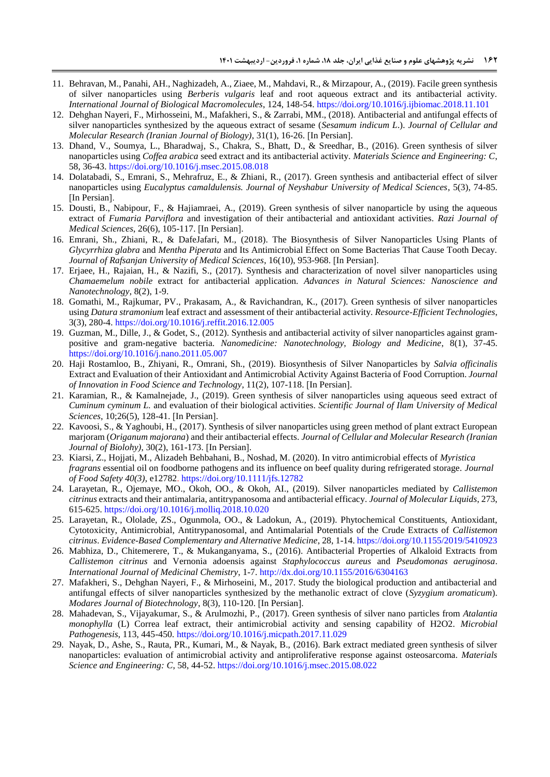- <span id="page-11-17"></span>11. Behravan, M., Panahi, AH., Naghizadeh, A., Ziaee, M., Mahdavi, R., & Mirzapour, A., (2019). Facile green synthesis of silver nanoparticles using *Berberis vulgaris* leaf and root aqueous extract and its antibacterial activity. *International Journal of Biological Macromolecules*, 124, 148-54. <https://doi.org/10.1016/j.ijbiomac.2018.11.101>
- <span id="page-11-1"></span>12. Dehghan Nayeri, F., Mirhosseini, M., Mafakheri, S., & Zarrabi, MM., (2018). Antibacterial and antifungal effects of silver nanoparticles synthesized by the aqueous extract of sesame (*Sesamum indicum L*.). *Journal of Cellular and Molecular Research (Iranian Journal of Biology)*, 31(1), 16-26. [In Persian].
- <span id="page-11-14"></span>13. Dhand, V., Soumya, L., Bharadwaj, S., Chakra, S., Bhatt, D., & Sreedhar, B., (2016). Green synthesis of silver nanoparticles using *Coffea arabica* seed extract and its antibacterial activity. *Materials Science and Engineering: C*, 58, 36-43. <https://doi.org/10.1016/j.msec.2015.08.018>
- <span id="page-11-5"></span>14. Dolatabadi, S., Emrani, S., Mehrafruz, E., & Zhiani, R., (2017). Green synthesis and antibacterial effect of silver nanoparticles using *Eucalyptus camaldulensis. Journal of Neyshabur University of Medical Sciences*, 5(3), 74-85. [In Persian].
- <span id="page-11-11"></span>15. Dousti, B., Nabipour, F., & Hajiamraei, A., (2019). Green synthesis of silver nanoparticle by using the aqueous extract of *Fumaria Parviflora* and investigation of their antibacterial and antioxidant activities. *Razi Journal of Medical Sciences*, 26(6), 105-117. [In Persian].
- <span id="page-11-0"></span>16. Emrani, Sh., Zhiani, R., & DafeJafari, M., (2018). The Biosynthesis of Silver Nanoparticles Using Plants of *Glycyrrhiza glabra* and *Mentha Piperata* and Its Antimicrobial Effect on Some Bacterias That Cause Tooth Decay. *Journal of Rafsanjan University of Medical Sciences*, 16(10), 953-968. [In Persian].
- <span id="page-11-16"></span>17. Erjaee, H., Rajaian, H., & Nazifi, S., (2017). Synthesis and characterization of novel silver nanoparticles using *Chamaemelum nobile* extract for antibacterial application. *Advances in Natural Sciences: Nanoscience and Nanotechnology*, 8(2), 1-9.
- <span id="page-11-7"></span>18. Gomathi, M., Rajkumar, PV., Prakasam, A., & Ravichandran, K., (2017). Green synthesis of silver nanoparticles using *Datura stramonium* leaf extract and assessment of their antibacterial activity. *Resource-Efficient Technologies*, 3(3), 280-4. <https://doi.org/10.1016/j.reffit.2016.12.005>
- <span id="page-11-13"></span>19. Guzman, M., Dille, J., & Godet, S., (2012). Synthesis and antibacterial activity of silver nanoparticles against grampositive and gram-negative bacteria. *Nanomedicine: Nanotechnology, Biology and Medicine*, 8(1), 37-45. <https://doi.org/10.1016/j.nano.2011.05.007>
- <span id="page-11-9"></span>20. Haji Rostamloo, B., Zhiyani, R., Omrani, Sh., (2019). Biosynthesis of Silver Nanoparticles by *Salvia officinalis*  Extract and Evaluation of their Antioxidant and Antimicrobial Activity Against Bacteria of Food Corruption. *Journal of Innovation in Food Science and Technology*, 11(2), 107-118. [In Persian].
- <span id="page-11-6"></span>21. Karamian, R., & Kamalnejade, J., (2019). Green synthesis of silver nanoparticles using aqueous seed extract of *Cuminum cyminum L.* and evaluation of their biological activities. *Scientific Journal of Ilam University of Medical Sciences*, 10;26(5), 128-41. [In Persian].
- <span id="page-11-12"></span>22. Kavoosi, S., & Yaghoubi, H., (2017). Synthesis of silver nanoparticles using green method of plant extract European marjoram (*Origanum majorana*) and their antibacterial effects. *Journal of Cellular and Molecular Research (Iranian Journal of Biolohy*), 30(2), 161-173. [In Persian].
- <span id="page-11-8"></span>23. Kiarsi, Z., Hojjati, M., Alizadeh Behbahani, B., Noshad, M. (2020). In vitro antimicrobial effects of *Myristica fragrans* essential oil on foodborne pathogens and its influence on beef quality during refrigerated storage. *Journal of Food Safety 40(3)*, e12782. <https://doi.org/10.1111/jfs.12782>
- <span id="page-11-4"></span>24. Larayetan, R., Ojemaye, MO., Okoh, OO., & Okoh, AI., (2019). Silver nanoparticles mediated by *Callistemon citrinus* extracts and their antimalaria, antitrypanosoma and antibacterial efficacy. *Journal of Molecular Liquids*, 273, 615-625. <https://doi.org/10.1016/j.molliq.2018.10.020>
- 25. Larayetan, R., Ololade, ZS., Ogunmola, OO., & Ladokun, A., (2019). Phytochemical Constituents, Antioxidant, Cytotoxicity, Antimicrobial, Antitrypanosomal, and Antimalarial Potentials of the Crude Extracts of *Callistemon citrinus*. *Evidence-Based Complementary and Alternative Medicine*, 28, 1-14. <https://doi.org/10.1155/2019/5410923>
- <span id="page-11-3"></span>26. Mabhiza, D., Chitemerere, T., & Mukanganyama, S., (2016). Antibacterial Properties of Alkaloid Extracts from *Callistemon citrinus* and Vernonia adoensis against *Staphylococcus aureus* and *Pseudomonas aeruginosa*. *International Journal of Medicinal Chemistry*, 1-7. <http://dx.doi.org/10.1155/2016/6304163>
- <span id="page-11-15"></span>27. Mafakheri, S., Dehghan Nayeri, F., & Mirhoseini, M., 2017. Study the biological production and antibacterial and antifungal effects of silver nanoparticles synthesized by the methanolic extract of clove (*Syzygium aromaticum*). *Modares Journal of Biotechnology*, 8(3), 110-120. [In Persian].
- <span id="page-11-2"></span>28. Mahadevan, S., Vijayakumar, S., & Arulmozhi, P., (2017). Green synthesis of silver nano particles from *Atalantia monophylla* (L) Correa leaf extract, their antimicrobial activity and sensing capability of H2O2. *Microbial Pathogenesis*, 113, 445-450. <https://doi.org/10.1016/j.micpath.2017.11.029>
- <span id="page-11-10"></span>29. Nayak, D., Ashe, S., Rauta, PR., Kumari, M., & Nayak, B., (2016). Bark extract mediated green synthesis of silver nanoparticles: evaluation of antimicrobial activity and antiproliferative response against osteosarcoma. *Materials Science and Engineering: C*, 58, 44-52. <https://doi.org/10.1016/j.msec.2015.08.022>